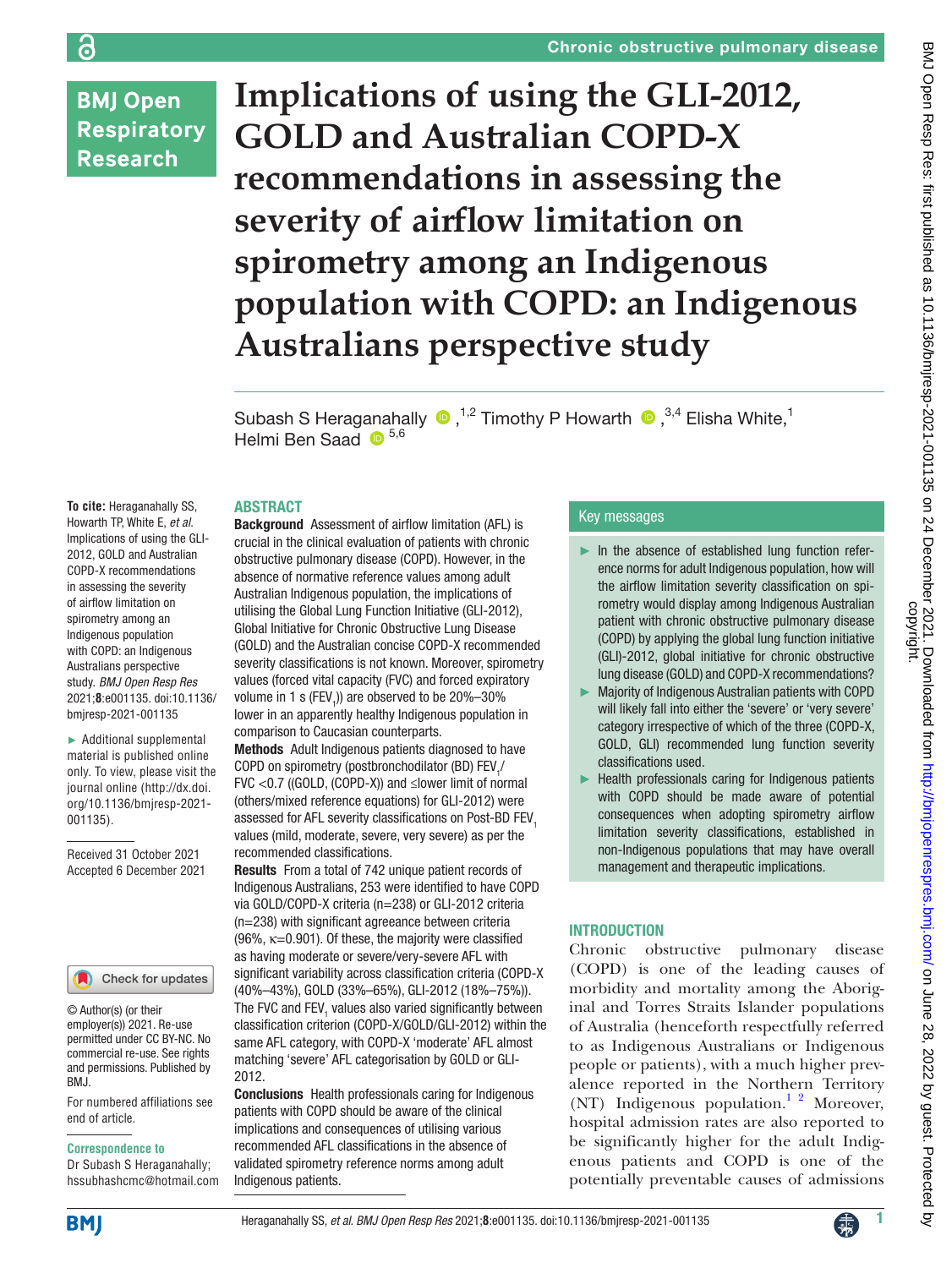## **BMJ Open Respiratory Research**

**Implications of using the GLI-2012, GOLD and Australian COPD-X recommendations in assessing the severity of airflow limitation on spirometry among an Indigenous population with COPD: an Indigenous Australians perspective study**

SubashS Heraganahally  $\bullet$ ,<sup>1,2</sup> Timothy P Howarth  $\bullet$ ,<sup>3,4</sup> Elisha White,<sup>1</sup> Helmi Ben Saad  $\bullet$  5,6

#### ABSTRACT

**To cite:** Heraganahally SS, Howarth TP, White E, *et al*. Implications of using the GLI-2012, GOLD and Australian COPD-X recommendations in assessing the severity of airflow limitation on spirometry among an Indigenous population with COPD: an Indigenous Australians perspective study. *BMJ Open Resp Res* 2021;**8**:e001135. doi:10.1136/ bmjresp-2021-001135

► Additional supplemental material is published online only. To view, please visit the journal online ([http://dx.doi.](http://dx.doi.org/10.1136/bmjresp-2021-001135) [org/10.1136/bmjresp-2021-](http://dx.doi.org/10.1136/bmjresp-2021-001135) [001135](http://dx.doi.org/10.1136/bmjresp-2021-001135)).

Received 31 October 2021 Accepted 6 December 2021



© Author(s) (or their employer(s)) 2021. Re-use permitted under CC BY-NC. No commercial re-use. See rights and permissions. Published by BMJ.

For numbered affiliations see end of article.

#### **Correspondence to**

Dr Subash S Heraganahally; hssubhashcmc@hotmail.com Background Assessment of airflow limitation (AFL) is crucial in the clinical evaluation of patients with chronic obstructive pulmonary disease (COPD). However, in the absence of normative reference values among adult Australian Indigenous population, the implications of utilising the Global Lung Function Initiative (GLI-2012), Global Initiative for Chronic Obstructive Lung Disease (GOLD) and the Australian concise COPD-X recommended severity classifications is not known. Moreover, spirometry values (forced vital capacity (FVC) and forced expiratory volume in 1 s (FEV<sub>1</sub>)) are observed to be 20%–30% lower in an apparently healthy Indigenous population in comparison to Caucasian counterparts.

Methods Adult Indigenous patients diagnosed to have COPD on spirometry (postbronchodilator (BD)  $FEV$ <sub>1</sub>/ FVC <0.7 ((GOLD, (COPD-X)) and ≤lower limit of normal (others/mixed reference equations) for GLI-2012) were assessed for AFL severity classifications on Post-BD FEV<sub>1</sub> values (mild, moderate, severe, very severe) as per the recommended classifications.

Results From a total of 742 unique patient records of Indigenous Australians, 253 were identified to have COPD via GOLD/COPD-X criteria (n=238) or GLI-2012 criteria (n=238) with significant agreeance between criteria  $(96\% , \kappa=0.901)$ . Of these, the majority were classified as having moderate or severe/very-severe AFL with significant variability across classification criteria (COPD-X (40%–43%), GOLD (33%–65%), GLI-2012 (18%–75%)). The FVC and  $\text{FEV}_1$  values also varied significantly between classification criterion (COPD-X/GOLD/GLI-2012) within the same AFL category, with COPD-X 'moderate' AFL almost matching 'severe' AFL categorisation by GOLD or GLI-2012.

Conclusions Health professionals caring for Indigenous patients with COPD should be aware of the clinical implications and consequences of utilising various recommended AFL classifications in the absence of validated spirometry reference norms among adult Indigenous patients.

#### Key messages

- ► In the absence of established lung function reference norms for adult Indigenous population, how will the airflow limitation severity classification on spirometry would display among Indigenous Australian patient with chronic obstructive pulmonary disease (COPD) by applying the global lung function initiative (GLI)-2012, global initiative for chronic obstructive lung disease (GOLD) and COPD-X recommendations?
- ► Majority of Indigenous Australian patients with COPD will likely fall into either the 'severe' or 'very severe' category irrespective of which of the three (COPD-X, GOLD, GLI) recommended lung function severity classifications used.
- Health professionals caring for Indigenous patients with COPD should be made aware of potential consequences when adopting spirometry airflow limitation severity classifications, established in non-Indigenous populations that may have overall management and therapeutic implications.

## INTRODUCTION

Chronic obstructive pulmonary disease (COPD) is one of the leading causes of morbidity and mortality among the Aboriginal and Torres Straits Islander populations of Australia (henceforth respectfully referred to as Indigenous Australians or Indigenous people or patients), with a much higher prevalence reported in the Northern Territory (NT) Indigenous population.<sup>1</sup> <sup>2</sup> Moreover, hospital admission rates are also reported to be significantly higher for the adult Indigenous patients and COPD is one of the potentially preventable causes of admissions



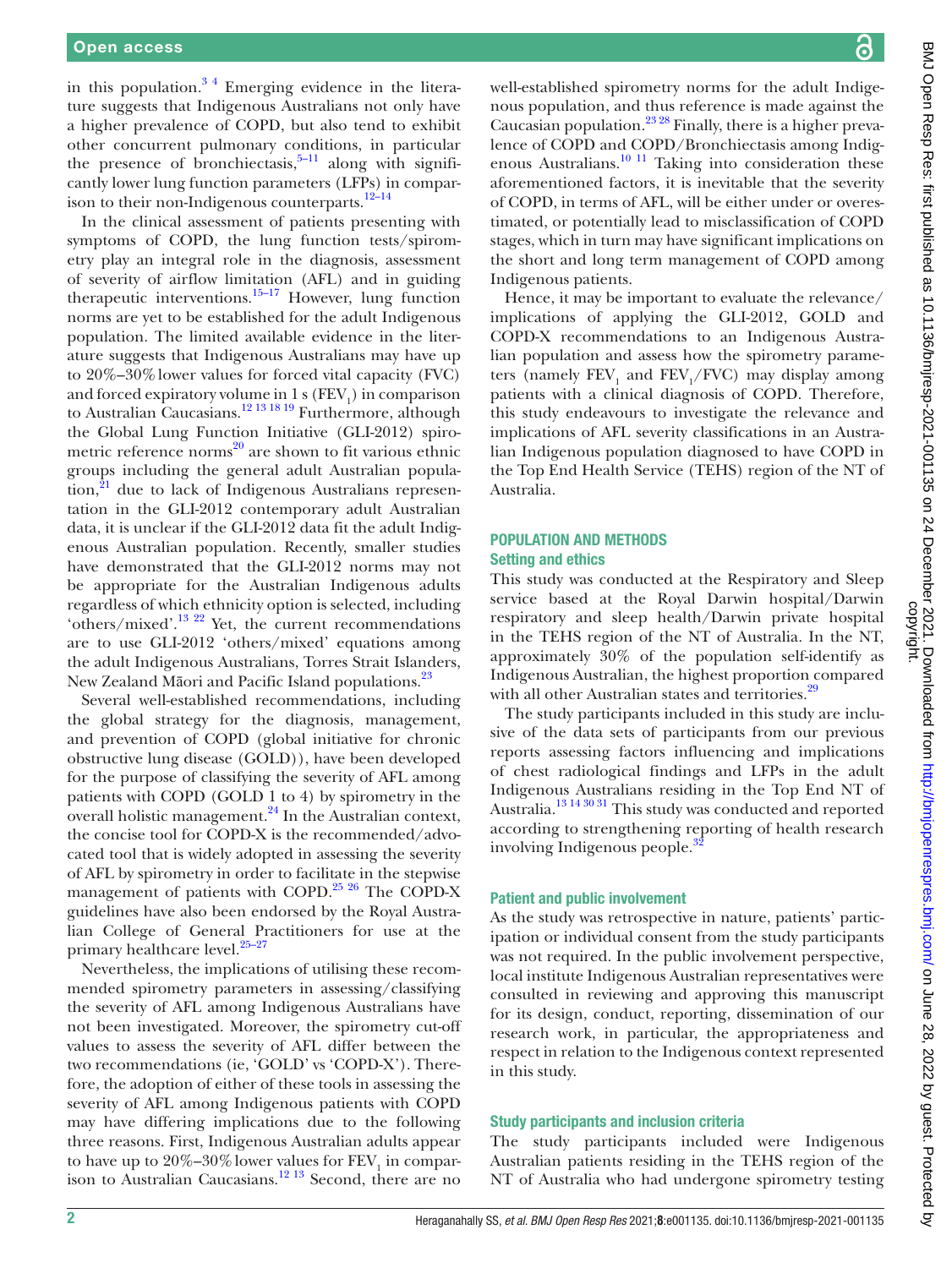in this population. $3<sup>4</sup>$  Emerging evidence in the literature suggests that Indigenous Australians not only have a higher prevalence of COPD, but also tend to exhibit other concurrent pulmonary conditions, in particular the presence of bronchiectasis, $5-11$  along with significantly lower lung function parameters (LFPs) in comparison to their non-Indigenous counterparts. $12-14$ 

In the clinical assessment of patients presenting with symptoms of COPD, the lung function tests/spirometry play an integral role in the diagnosis, assessment of severity of airflow limitation (AFL) and in guiding therapeutic interventions.[15–17](#page-9-4) However, lung function norms are yet to be established for the adult Indigenous population. The limited available evidence in the literature suggests that Indigenous Australians may have up to 20%–30%lower values for forced vital capacity (FVC) and forced expiratory volume in 1 s ( $\text{FEV}_1$ ) in comparison to Australian Caucasians.<sup>12 13 18 19</sup> Furthermore, although the Global Lung Function Initiative (GLI-2012) spirometric reference norms $^{20}$  are shown to fit various ethnic groups including the general adult Australian popula- $\text{tion},^{21}$  $\text{tion},^{21}$  $\text{tion},^{21}$  due to lack of Indigenous Australians representation in the GLI-2012 contemporary adult Australian data, it is unclear if the GLI-2012 data fit the adult Indigenous Australian population. Recently, smaller studies have demonstrated that the GLI-2012 norms may not be appropriate for the Australian Indigenous adults regardless of which ethnicity option is selected, including 'others/mixed'[.13 22](#page-9-7) Yet, the current recommendations are to use GLI-2012 'others/mixed' equations among the adult Indigenous Australians, Torres Strait Islanders, New Zealand Māori and Pacific Island populations.<sup>[23](#page-9-8)</sup>

Several well-established recommendations, including the global strategy for the diagnosis, management, and prevention of COPD (global initiative for chronic obstructive lung disease (GOLD)), have been developed for the purpose of classifying the severity of AFL among patients with COPD (GOLD 1 to 4) by spirometry in the overall holistic management.<sup>[24](#page-9-9)</sup> In the Australian context, the concise tool for COPD-X is the recommended/advocated tool that is widely adopted in assessing the severity of AFL by spirometry in order to facilitate in the stepwise management of patients with COPD.<sup>25 26</sup> The COPD-X guidelines have also been endorsed by the Royal Australian College of General Practitioners for use at the primary healthcare level.<sup>25-27</sup>

Nevertheless, the implications of utilising these recommended spirometry parameters in assessing/classifying the severity of AFL among Indigenous Australians have not been investigated. Moreover, the spirometry cut-off values to assess the severity of AFL differ between the two recommendations (ie, 'GOLD' vs 'COPD-X'). Therefore, the adoption of either of these tools in assessing the severity of AFL among Indigenous patients with COPD may have differing implications due to the following three reasons. First, Indigenous Australian adults appear to have up to  $20\% - 30\%$  lower values for  $\text{FEV}_1$  in comparison to Australian Caucasians.<sup>12 13</sup> Second, there are no

well-established spirometry norms for the adult Indigenous population, and thus reference is made against the Caucasian population.[23 28](#page-9-8) Finally, there is a higher prevalence of COPD and COPD/Bronchiectasis among Indigenous Australians.<sup>10 11</sup> Taking into consideration these aforementioned factors, it is inevitable that the severity of COPD, in terms of AFL, will be either under or overestimated, or potentially lead to misclassification of COPD stages, which in turn may have significant implications on the short and long term management of COPD among Indigenous patients.

Hence, it may be important to evaluate the relevance/ implications of applying the GLI-2012, GOLD and COPD-X recommendations to an Indigenous Australian population and assess how the spirometry parameters (namely  $\text{FEV}_1$  and  $\text{FEV}_1/\text{FVC}$ ) may display among patients with a clinical diagnosis of COPD. Therefore, this study endeavours to investigate the relevance and implications of AFL severity classifications in an Australian Indigenous population diagnosed to have COPD in the Top End Health Service (TEHS) region of the NT of Australia.

## POPULATION AND METHODS Setting and ethics

This study was conducted at the Respiratory and Sleep service based at the Royal Darwin hospital/Darwin respiratory and sleep health/Darwin private hospital in the TEHS region of the NT of Australia. In the NT, approximately 30% of the population self-identify as Indigenous Australian, the highest proportion compared with all other Australian states and territories.<sup>29</sup>

The study participants included in this study are inclusive of the data sets of participants from our previous reports assessing factors influencing and implications of chest radiological findings and LFPs in the adult Indigenous Australians residing in the Top End NT of Australia.[13 14 30 31](#page-9-7) This study was conducted and reported according to strengthening reporting of health research involving Indigenous people.<sup>3</sup>

#### Patient and public involvement

As the study was retrospective in nature, patients' participation or individual consent from the study participants was not required. In the public involvement perspective, local institute Indigenous Australian representatives were consulted in reviewing and approving this manuscript for its design, conduct, reporting, dissemination of our research work, in particular, the appropriateness and respect in relation to the Indigenous context represented in this study.

#### Study participants and inclusion criteria

The study participants included were Indigenous Australian patients residing in the TEHS region of the NT of Australia who had undergone spirometry testing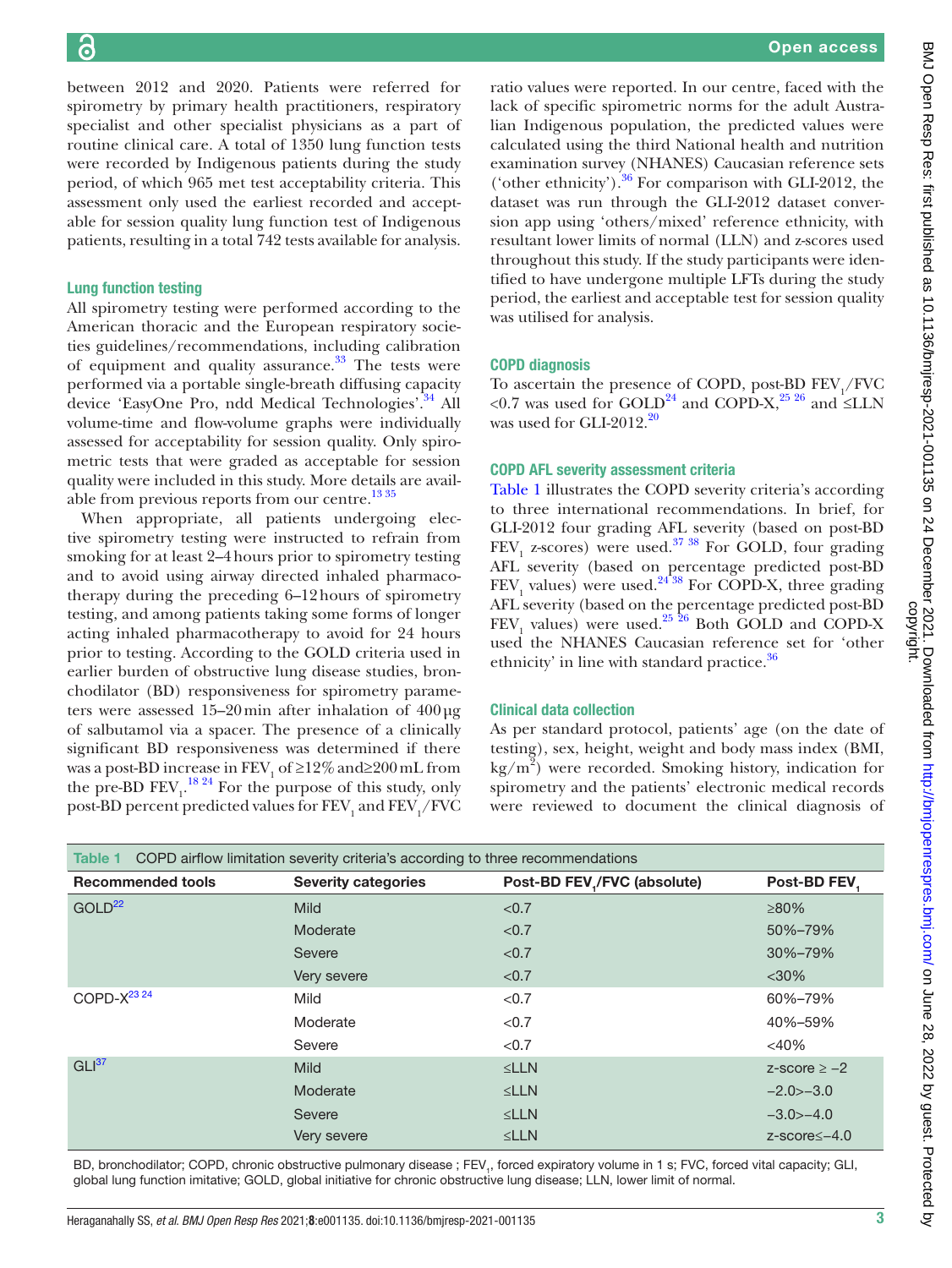between 2012 and 2020. Patients were referred for spirometry by primary health practitioners, respiratory specialist and other specialist physicians as a part of routine clinical care. A total of 1350 lung function tests were recorded by Indigenous patients during the study period, of which 965 met test acceptability criteria. This assessment only used the earliest recorded and acceptable for session quality lung function test of Indigenous patients, resulting in a total 742 tests available for analysis.

## Lung function testing

All spirometry testing were performed according to the American thoracic and the European respiratory societies guidelines/recommendations, including calibration of equipment and quality assurance. $33$  The tests were performed via a portable single-breath diffusing capacity device 'EasyOne Pro, ndd Medical Technologies'.<sup>34</sup> All volume-time and flow-volume graphs were individually assessed for acceptability for session quality. Only spirometric tests that were graded as acceptable for session quality were included in this study. More details are available from previous reports from our centre.<sup>13 35</sup>

When appropriate, all patients undergoing elective spirometry testing were instructed to refrain from smoking for at least 2–4hours prior to spirometry testing and to avoid using airway directed inhaled pharmacotherapy during the preceding 6–12hours of spirometry testing, and among patients taking some forms of longer acting inhaled pharmacotherapy to avoid for 24 hours prior to testing. According to the GOLD criteria used in earlier burden of obstructive lung disease studies, bronchodilator (BD) responsiveness for spirometry parameters were assessed 15–20min after inhalation of 400µg of salbutamol via a spacer. The presence of a clinically significant BD responsiveness was determined if there was a post-BD increase in  $\text{FEV}_1$  of  $\geq$ 12% and $\geq$ 200 mL from the pre-BD  $\text{FEV}_1$ .<sup>[18 24](#page-9-16)</sup> For the purpose of this study, only post-BD percent predicted values for  $\mathrm{FEV}_1$  and  $\mathrm{FEV}_1/\mathrm{FVC}$ 

ratio values were reported. In our centre, faced with the lack of specific spirometric norms for the adult Australian Indigenous population, the predicted values were calculated using the third National health and nutrition examination survey (NHANES) Caucasian reference sets ('other ethnicity').<sup>36</sup> For comparison with GLI-2012, the dataset was run through the GLI-2012 dataset conversion app using 'others/mixed' reference ethnicity, with resultant lower limits of normal (LLN) and z-scores used throughout this study. If the study participants were identified to have undergone multiple LFTs during the study period, the earliest and acceptable test for session quality was utilised for analysis.

## COPD diagnosis

To ascertain the presence of COPD, post-BD  $FEV_1/FVC$ <0.7 was used for GOLD<sup>[24](#page-9-9)</sup> and COPD-X,<sup>25 26</sup> and ≤LLN was used for GLI-2012.<sup>20</sup>

## COPD AFL severity assessment criteria

[Table](#page-2-0) 1 illustrates the COPD severity criteria's according to three international recommendations. In brief, for GLI-2012 four grading AFL severity (based on post-BD  $FEV<sub>1</sub>$  z-scores) were used.<sup>37</sup> <sup>38</sup> For GOLD, four grading AFL severity (based on percentage predicted post-BD  $\text{FEV}_1$  values) were used.<sup>2438</sup> For COPD-X, three grading AFL severity (based on the percentage predicted post-BD  $\text{FEV}_1$  values) were used.<sup>25</sup> 26 Both GOLD and COPD-X used the NHANES Caucasian reference set for 'other ethnicity' in line with standard practice.<sup>[36](#page-9-17)</sup>

#### Clinical data collection

As per standard protocol, patients' age (on the date of testing), sex, height, weight and body mass index (BMI, kg/m2 ) were recorded. Smoking history, indication for spirometry and the patients' electronic medical records were reviewed to document the clinical diagnosis of

<span id="page-2-0"></span>

| COPD airflow limitation severity criteria's according to three recommendations<br>Table 1 |                            |                             |                       |  |
|-------------------------------------------------------------------------------------------|----------------------------|-----------------------------|-----------------------|--|
| <b>Recommended tools</b>                                                                  | <b>Severity categories</b> | Post-BD FEV,/FVC (absolute) | Post-BD FEV           |  |
| GOLD <sup>22</sup>                                                                        | <b>Mild</b>                | < 0.7                       | $\geq 80\%$           |  |
|                                                                                           | Moderate                   | < 0.7                       | 50%-79%               |  |
|                                                                                           | Severe                     | < 0.7                       | 30%-79%               |  |
|                                                                                           | Very severe                | < 0.7                       | $<$ 30%               |  |
| COPD- $X^{23,24}$                                                                         | Mild                       | < 0.7                       | 60%-79%               |  |
|                                                                                           | Moderate                   | < 0.7                       | 40%-59%               |  |
|                                                                                           | Severe                     | < 0.7                       | $<$ 40%               |  |
| GLI <sup>37</sup>                                                                         | <b>Mild</b>                | SLLN                        | $z$ -score $\ge -2$   |  |
|                                                                                           | Moderate                   | SLLN                        | $-2.0 > -3.0$         |  |
|                                                                                           | Severe                     | SLLN                        | $-3.0$ $-4.0$         |  |
|                                                                                           | Very severe                | SLLN                        | $z$ -score $\le$ –4.0 |  |

BD, bronchodilator; COPD, chronic obstructive pulmonary disease ; FEV<sub>1</sub>, forced expiratory volume in 1 s; FVC, forced vital capacity; GLI, global lung function imitative; GOLD, global initiative for chronic obstructive lung disease; LLN, lower limit of normal.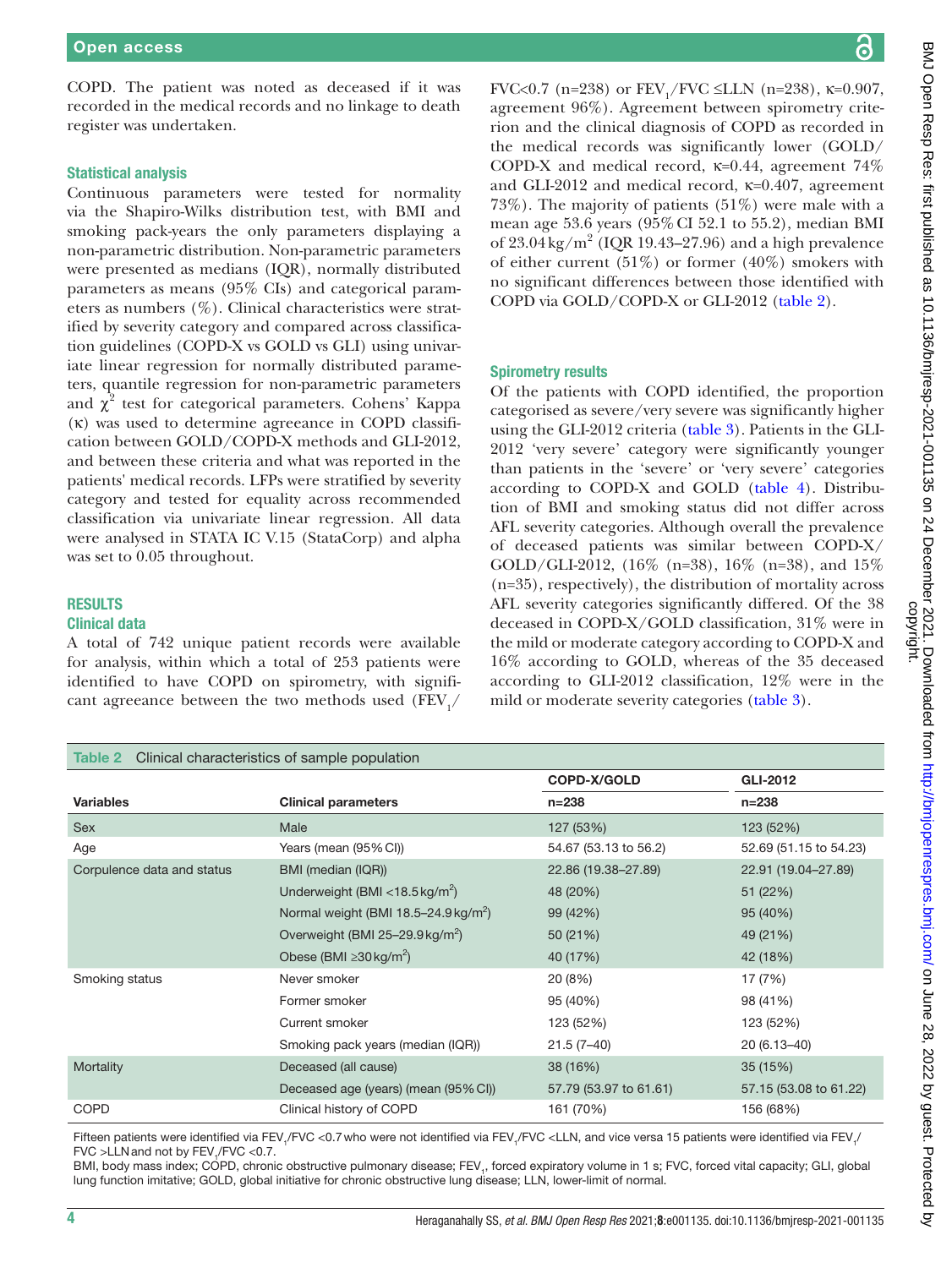COPD. The patient was noted as deceased if it was recorded in the medical records and no linkage to death register was undertaken.

#### Statistical analysis

Continuous parameters were tested for normality via the Shapiro-Wilks distribution test, with BMI and smoking pack-years the only parameters displaying a non-parametric distribution. Non-parametric parameters were presented as medians (IQR), normally distributed parameters as means (95% CIs) and categorical parameters as numbers (%). Clinical characteristics were stratified by severity category and compared across classification guidelines (COPD-X vs GOLD vs GLI) using univariate linear regression for normally distributed parameters, quantile regression for non-parametric parameters and  $\chi^2$  test for categorical parameters. Cohens' Kappa (κ) was used to determine agreeance in COPD classification between GOLD/COPD-X methods and GLI-2012, and between these criteria and what was reported in the patients' medical records. LFPs were stratified by severity category and tested for equality across recommended classification via univariate linear regression. All data were analysed in STATA IC V.15 (StataCorp) and alpha was set to 0.05 throughout.

#### RESULTS

## Clinical data

A total of 742 unique patient records were available for analysis, within which a total of 253 patients were identified to have COPD on spirometry, with significant agreeance between the two methods used  $\rm (FEV_{1}/$ 

#### <span id="page-3-0"></span>Table 2 Clinical characteristics of sample population

BMJ Open Resp Res: first published as 10.1136/bmjresp-2021-001135 on 24 December 2021. Downloaded from http://bmjopenrespres.bmj.com/ on June 28, 2022 by guest. Protected by<br>copyright. BMJ Open Resp Res: first published as 10.1136/bmjresp-2021-001135 on 24 December 2021. Downloaded from <http://bmjopenrespres.bmj.com/> on June 28, 2022 by guest. Protected by

FVC<0.7 (n=238) or  $\text{FEV}_1/\text{FVC} \leq \text{LLN}$  (n=238),  $\kappa$ =0.907, agreement 96%). Agreement between spirometry criterion and the clinical diagnosis of COPD as recorded in the medical records was significantly lower (GOLD/ COPD-X and medical record, κ=0.44, agreement 74% and GLI-2012 and medical record,  $\kappa$ =0.407, agreement 73%). The majority of patients (51%) were male with a mean age 53.6 years (95%CI 52.1 to 55.2), median BMI of  $23.04 \text{ kg/m}^2$  (IQR 19.43–27.96) and a high prevalence of either current  $(51\%)$  or former  $(40\%)$  smokers with no significant differences between those identified with COPD via GOLD/COPD-X or GLI-2012 [\(table](#page-3-0) 2).

#### Spirometry results

Of the patients with COPD identified, the proportion categorised as severe/very severe was significantly higher using the GLI-2012 criteria [\(table](#page-4-0) 3). Patients in the GLI-2012 'very severe' category were significantly younger than patients in the 'severe' or 'very severe' categories according to COPD-X and GOLD [\(table](#page-5-0) 4). Distribution of BMI and smoking status did not differ across AFL severity categories. Although overall the prevalence of deceased patients was similar between COPD-X/ GOLD/GLI-2012, (16% (n=38), 16% (n=38), and 15% (n=35), respectively), the distribution of mortality across AFL severity categories significantly differed. Of the 38 deceased in COPD-X/GOLD classification, 31% were in the mild or moderate category according to COPD-X and 16% according to GOLD, whereas of the 35 deceased according to GLI-2012 classification, 12% were in the mild or moderate severity categories ([table](#page-4-0) 3).

| <u>rapid = cinnour origination ishoo or surriple pepulation</u> |                                                  |                        |                        |
|-----------------------------------------------------------------|--------------------------------------------------|------------------------|------------------------|
|                                                                 |                                                  | COPD-X/GOLD            | GLI-2012               |
| <b>Variables</b>                                                | <b>Clinical parameters</b>                       | $n = 238$              | $n = 238$              |
| Sex                                                             | Male                                             | 127 (53%)              | 123 (52%)              |
| Age                                                             | Years (mean (95% CI))                            | 54.67 (53.13 to 56.2)  | 52.69 (51.15 to 54.23) |
| Corpulence data and status                                      | BMI (median (IQR))                               | 22.86 (19.38-27.89)    | 22.91 (19.04-27.89)    |
|                                                                 | Underweight (BMI <18.5 kg/m <sup>2</sup> )       | 48 (20%)               | 51 (22%)               |
|                                                                 | Normal weight (BMI 18.5-24.9 kg/m <sup>2</sup> ) | 99 (42%)               | 95 (40%)               |
|                                                                 | Overweight (BMI 25-29.9 kg/m <sup>2</sup> )      | 50 (21%)               | 49 (21%)               |
|                                                                 | Obese (BMI $\geq$ 30 kg/m <sup>2</sup> )         | 40 (17%)               | 42 (18%)               |
| Smoking status                                                  | Never smoker                                     | 20 (8%)                | 17 (7%)                |
|                                                                 | Former smoker                                    | 95 (40%)               | 98 (41%)               |
|                                                                 | Current smoker                                   | 123 (52%)              | 123 (52%)              |
|                                                                 | Smoking pack years (median (IQR))                | $21.5(7-40)$           | 20 (6.13-40)           |
| Mortality                                                       | Deceased (all cause)                             | 38 (16%)               | 35 (15%)               |
|                                                                 | Deceased age (years) (mean (95% CI))             | 57.79 (53.97 to 61.61) | 57.15 (53.08 to 61.22) |
| <b>COPD</b>                                                     | Clinical history of COPD                         | 161 (70%)              | 156 (68%)              |

Fifteen patients were identified via FEV<sub>1</sub>/FVC <0.7 who were not identified via FEV<sub>1</sub>/FVC <LLN, and vice versa 15 patients were identified via FEV<sub>1</sub> FVC >LLN and not by FEV<sub>1</sub>/FVC <0.7.

BMI, body mass index; COPD, chronic obstructive pulmonary disease; FEV,, forced expiratory volume in 1 s; FVC, forced vital capacity; GLI, global lung function imitative; GOLD, global initiative for chronic obstructive lung disease; LLN, lower-limit of normal.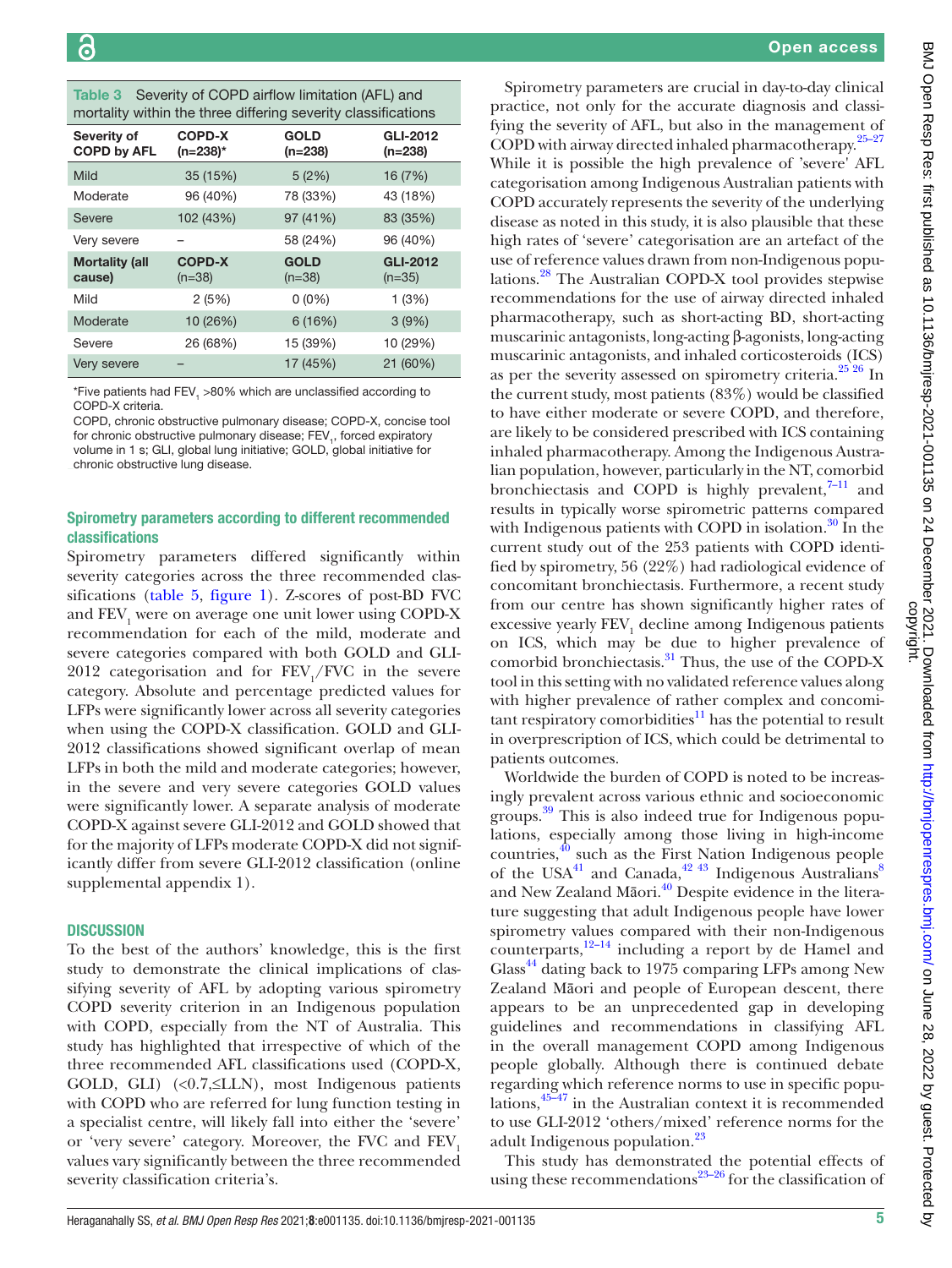<span id="page-4-0"></span>

| Table 3 | Severity of COPD airflow limitation (AFL) and                 |
|---------|---------------------------------------------------------------|
|         | mortality within the three differing severity classifications |

| nontanty within the times annonnig severity siasomodilons |                              |                          |                             |  |
|-----------------------------------------------------------|------------------------------|--------------------------|-----------------------------|--|
| Severity of<br><b>COPD by AFL</b>                         | <b>COPD-X</b><br>$(n=238)^*$ | <b>GOLD</b><br>$(n=238)$ | GLI-2012<br>(n=238)         |  |
| Mild                                                      | 35 (15%)                     | 5(2%)                    | 16 (7%)                     |  |
| Moderate                                                  | 96 (40%)                     | 78 (33%)                 | 43 (18%)                    |  |
| Severe                                                    | 102 (43%)                    | 97 (41%)                 | 83 (35%)                    |  |
| Very severe                                               |                              | 58 (24%)                 | 96 (40%)                    |  |
| <b>Mortality (all</b><br>cause)                           | <b>COPD-X</b><br>$(n=38)$    | <b>GOLD</b><br>$(n=38)$  | <b>GLI-2012</b><br>$(n=35)$ |  |
| Mild                                                      | 2(5%)                        | $0(0\%)$                 | 1(3%)                       |  |
| Moderate                                                  | 10 (26%)                     | 6(16%)                   | 3(9%)                       |  |
| Severe                                                    | 26 (68%)                     | 15 (39%)                 | 10 (29%)                    |  |
| Very severe                                               |                              | 17 (45%)                 | 21 (60%)                    |  |

\*Five patients had FEV,  $>$ 80% which are unclassified according to COPD-X criteria.

COPD, chronic obstructive pulmonary disease; COPD-X, concise tool for chronic obstructive pulmonary disease;  $\mathsf{FEV}_{1}$ , forced expiratory volume in 1 s; GLI, global lung initiative; GOLD, global initiative for chronic obstructive lung disease.

## Spirometry parameters according to different recommended classifications

Spirometry parameters differed significantly within severity categories across the three recommended classifications ([table](#page-6-0) 5, [figure](#page-7-0) 1). Z-scores of post-BD FVC and  $\text{FEV}_1$  were on average one unit lower using COPD-X recommendation for each of the mild, moderate and severe categories compared with both GOLD and GLI-2012 categorisation and for  $\text{FEV}_1/\text{FVC}$  in the severe category. Absolute and percentage predicted values for LFPs were significantly lower across all severity categories when using the COPD-X classification. GOLD and GLI-2012 classifications showed significant overlap of mean LFPs in both the mild and moderate categories; however, in the severe and very severe categories GOLD values were significantly lower. A separate analysis of moderate COPD-X against severe GLI-2012 and GOLD showed that for the majority of LFPs moderate COPD-X did not significantly differ from severe GLI-2012 classification [\(online](https://dx.doi.org/10.1136/bmjresp-2021-001135) [supplemental appendix 1\)](https://dx.doi.org/10.1136/bmjresp-2021-001135).

## **DISCUSSION**

To the best of the authors' knowledge, this is the first study to demonstrate the clinical implications of classifying severity of AFL by adopting various spirometry COPD severity criterion in an Indigenous population with COPD, especially from the NT of Australia. This study has highlighted that irrespective of which of the three recommended AFL classifications used (COPD-X, GOLD, GLI)  $(\langle 0.7, \leq LLN)$ , most Indigenous patients with COPD who are referred for lung function testing in a specialist centre, will likely fall into either the 'severe' or 'very severe' category. Moreover, the FVC and FEV<sub>1</sub> values vary significantly between the three recommended severity classification criteria's.

Spirometry parameters are crucial in day-to-day clinical practice, not only for the accurate diagnosis and classifying the severity of AFL, but also in the management of COPD with airway directed inhaled pharmacotherapy[.25–27](#page-9-10) While it is possible the high prevalence of 'severe' AFL categorisation among Indigenous Australian patients with COPD accurately represents the severity of the underlying disease as noted in this study, it is also plausible that these high rates of 'severe' categorisation are an artefact of the use of reference values drawn from non-Indigenous populations.[28](#page-9-20) The Australian COPD-X tool provides stepwise recommendations for the use of airway directed inhaled pharmacotherapy, such as short-acting BD, short-acting muscarinic antagonists, long-acting β-agonists, long-acting muscarinic antagonists, and inhaled corticosteroids (ICS) as per the severity assessed on spirometry criteria.<sup>[25 26](#page-9-10)</sup> In the current study, most patients (83%) would be classified to have either moderate or severe COPD, and therefore, are likely to be considered prescribed with ICS containing inhaled pharmacotherapy. Among the Indigenous Australian population, however, particularly in the NT, comorbid bronchiectasis and COPD is highly prevalent, $7-11$  and results in typically worse spirometric patterns compared with Indigenous patients with COPD in isolation. $30 \text{ In the}$  $30 \text{ In the}$ current study out of the 253 patients with COPD identified by spirometry, 56 (22%) had radiological evidence of concomitant bronchiectasis. Furthermore, a recent study from our centre has shown significantly higher rates of excessive yearly  $\rm FEV_{1}$  decline among Indigenous patients on ICS, which may be due to higher prevalence of comorbid bronchiectasis.<sup>31</sup> Thus, the use of the COPD-X tool in this setting with no validated reference values along with higher prevalence of rather complex and concomitant respiratory comorbidities $11$  has the potential to result in overprescription of ICS, which could be detrimental to patients outcomes.

Worldwide the burden of COPD is noted to be increasingly prevalent across various ethnic and socioeconomic groups.<sup>[39](#page-10-0)</sup> This is also indeed true for Indigenous populations, especially among those living in high-income countries,<sup>40</sup> such as the First Nation Indigenous people of the USA $^{41}$  $^{41}$  $^{41}$  and Canada,  $^{42}$  43 Indigenous Australians<sup>[8](#page-9-25)</sup> and New Zealand Māori.<sup>40</sup> Despite evidence in the literature suggesting that adult Indigenous people have lower spirometry values compared with their non-Indigenous counterparts, $12-14$  including a report by de Hamel and Glass<sup>44</sup> dating back to 1975 comparing LFPs among New Zealand Māori and people of European descent, there appears to be an unprecedented gap in developing guidelines and recommendations in classifying AFL in the overall management COPD among Indigenous people globally. Although there is continued debate regarding which reference norms to use in specific populations[,45–47](#page-10-5) in the Australian context it is recommended to use GLI-2012 'others/mixed' reference norms for the adult Indigenous population.<sup>[23](#page-9-8)</sup>

This study has demonstrated the potential effects of using these recommendations $23-26$  for the classification of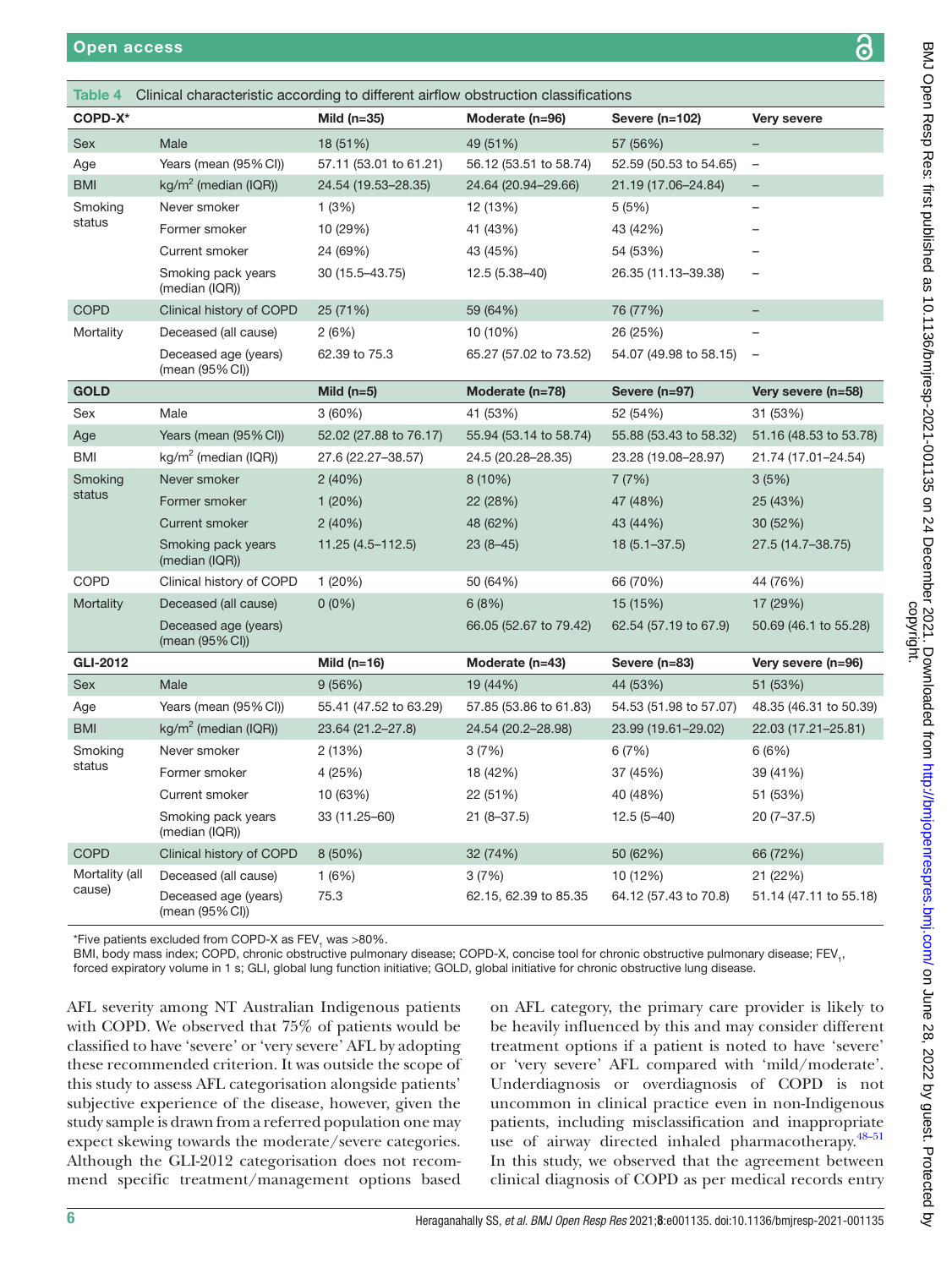<span id="page-5-0"></span>

| Clinical characteristic according to different airflow obstruction classifications<br>Table 4 |                                         |                        |                        |                        |                          |
|-----------------------------------------------------------------------------------------------|-----------------------------------------|------------------------|------------------------|------------------------|--------------------------|
| COPD-X*                                                                                       |                                         | Mild ( $n=35$ )        | Moderate (n=96)        | Severe (n=102)         | <b>Very severe</b>       |
| <b>Sex</b>                                                                                    | Male                                    | 18 (51%)               | 49 (51%)               | 57 (56%)               |                          |
| Age                                                                                           | Years (mean (95% CI))                   | 57.11 (53.01 to 61.21) | 56.12 (53.51 to 58.74) | 52.59 (50.53 to 54.65) | $\qquad \qquad -$        |
| <b>BMI</b>                                                                                    | kg/m <sup>2</sup> (median (IQR))        | 24.54 (19.53-28.35)    | 24.64 (20.94-29.66)    | 21.19 (17.06-24.84)    | $\equiv$                 |
| Smoking                                                                                       | Never smoker                            | 1(3%)                  | 12 (13%)               | 5(5%)                  | $\overline{\phantom{0}}$ |
| status                                                                                        | Former smoker                           | 10 (29%)               | 41 (43%)               | 43 (42%)               |                          |
|                                                                                               | <b>Current smoker</b>                   | 24 (69%)               | 43 (45%)               | 54 (53%)               |                          |
|                                                                                               | Smoking pack years<br>(median (IQR))    | 30 (15.5-43.75)        | 12.5 (5.38-40)         | 26.35 (11.13-39.38)    |                          |
| <b>COPD</b>                                                                                   | Clinical history of COPD                | 25 (71%)               | 59 (64%)               | 76 (77%)               | ÷,                       |
| Mortality                                                                                     | Deceased (all cause)                    | 2(6%)                  | 10 (10%)               | 26 (25%)               |                          |
|                                                                                               | Deceased age (years)<br>(mean (95% CI)) | 62.39 to 75.3          | 65.27 (57.02 to 73.52) | 54.07 (49.98 to 58.15) | $\overline{\phantom{a}}$ |
| <b>GOLD</b>                                                                                   |                                         | Mild $(n=5)$           | Moderate (n=78)        | Severe (n=97)          | Very severe (n=58)       |
| Sex                                                                                           | Male                                    | 3(60%)                 | 41 (53%)               | 52 (54%)               | 31 (53%)                 |
| Age                                                                                           | Years (mean (95% CI))                   | 52.02 (27.88 to 76.17) | 55.94 (53.14 to 58.74) | 55.88 (53.43 to 58.32) | 51.16 (48.53 to 53.78)   |
| <b>BMI</b>                                                                                    | $kg/m2$ (median (IQR))                  | 27.6 (22.27-38.57)     | 24.5 (20.28-28.35)     | 23.28 (19.08-28.97)    | 21.74 (17.01-24.54)      |
| Smoking                                                                                       | Never smoker                            | 2(40%)                 | 8(10%)                 | 7(7%)                  | 3(5%)                    |
| status                                                                                        | Former smoker                           | 1(20%)                 | 22 (28%)               | 47 (48%)               | 25 (43%)                 |
|                                                                                               | <b>Current smoker</b>                   | 2(40%)                 | 48 (62%)               | 43 (44%)               | 30 (52%)                 |
|                                                                                               | Smoking pack years<br>(median (IQR))    | 11.25 (4.5-112.5)      | $23(8-45)$             | $18(5.1 - 37.5)$       | 27.5 (14.7-38.75)        |
| <b>COPD</b>                                                                                   | Clinical history of COPD                | 1(20%)                 | 50 (64%)               | 66 (70%)               | 44 (76%)                 |
| Mortality                                                                                     | Deceased (all cause)                    | $0(0\%)$               | 6(8%)                  | 15 (15%)               | 17 (29%)                 |
|                                                                                               | Deceased age (years)<br>(mean (95% CI)) |                        | 66.05 (52.67 to 79.42) | 62.54 (57.19 to 67.9)  | 50.69 (46.1 to 55.28)    |
| <b>GLI-2012</b>                                                                               |                                         | Mild $(n=16)$          | Moderate (n=43)        | Severe (n=83)          | Very severe (n=96)       |
| <b>Sex</b>                                                                                    | Male                                    | 9(56%)                 | 19 (44%)               | 44 (53%)               | 51 (53%)                 |
| Age                                                                                           | Years (mean (95% CI))                   | 55.41 (47.52 to 63.29) | 57.85 (53.86 to 61.83) | 54.53 (51.98 to 57.07) | 48.35 (46.31 to 50.39)   |
| <b>BMI</b>                                                                                    | $kg/m2$ (median (IQR))                  | 23.64 (21.2-27.8)      | 24.54 (20.2-28.98)     | 23.99 (19.61-29.02)    | 22.03 (17.21-25.81)      |
| Smoking                                                                                       | Never smoker                            | 2(13%)                 | 3(7%)                  | 6(7%)                  | 6(6%)                    |
| status                                                                                        | Former smoker                           | 4 (25%)                | 18 (42%)               | 37 (45%)               | 39 (41%)                 |
|                                                                                               | <b>Current smoker</b>                   | 10 (63%)               | 22 (51%)               | 40 (48%)               | 51 (53%)                 |
|                                                                                               | Smoking pack years<br>(median (IQR))    | 33 (11.25-60)          | $21(8-37.5)$           | $12.5(5-40)$           | $20(7-37.5)$             |
| <b>COPD</b>                                                                                   | Clinical history of COPD                | 8 (50%)                | 32 (74%)               | 50 (62%)               | 66 (72%)                 |
| Mortality (all                                                                                | Deceased (all cause)                    | 1(6%)                  | 3(7%)                  | 10 (12%)               | 21 (22%)                 |
| cause)                                                                                        | Deceased age (years)<br>(mean (95% CI)) | 75.3                   | 62.15, 62.39 to 85.35  | 64.12 (57.43 to 70.8)  | 51.14 (47.11 to 55.18)   |

\*Five patients excluded from COPD-X as  $\mathsf{FEV}_{\mathcal{1}}$  was  $>\!\!80\%$ .

BMI, body mass index; COPD, chronic obstructive pulmonary disease; COPD-X, concise tool for chronic obstructive pulmonary disease; FEV<sub>1</sub>,

forced expiratory volume in 1 s; GLI, global lung function initiative; GOLD, global initiative for chronic obstructive lung disease.

AFL severity among NT Australian Indigenous patients with COPD. We observed that 75% of patients would be classified to have 'severe' or 'very severe' AFL by adopting these recommended criterion. It was outside the scope of this study to assess AFL categorisation alongside patients' subjective experience of the disease, however, given the study sample is drawn from a referred population one may expect skewing towards the moderate/severe categories. Although the GLI-2012 categorisation does not recommend specific treatment/management options based on AFL category, the primary care provider is likely to be heavily influenced by this and may consider different treatment options if a patient is noted to have 'severe' or 'very severe' AFL compared with 'mild/moderate'. Underdiagnosis or overdiagnosis of COPD is not uncommon in clinical practice even in non-Indigenous patients, including misclassification and inappropriate use of airway directed inhaled pharmacotherapy.<sup>48-51</sup> In this study, we observed that the agreement between clinical diagnosis of COPD as per medical records entry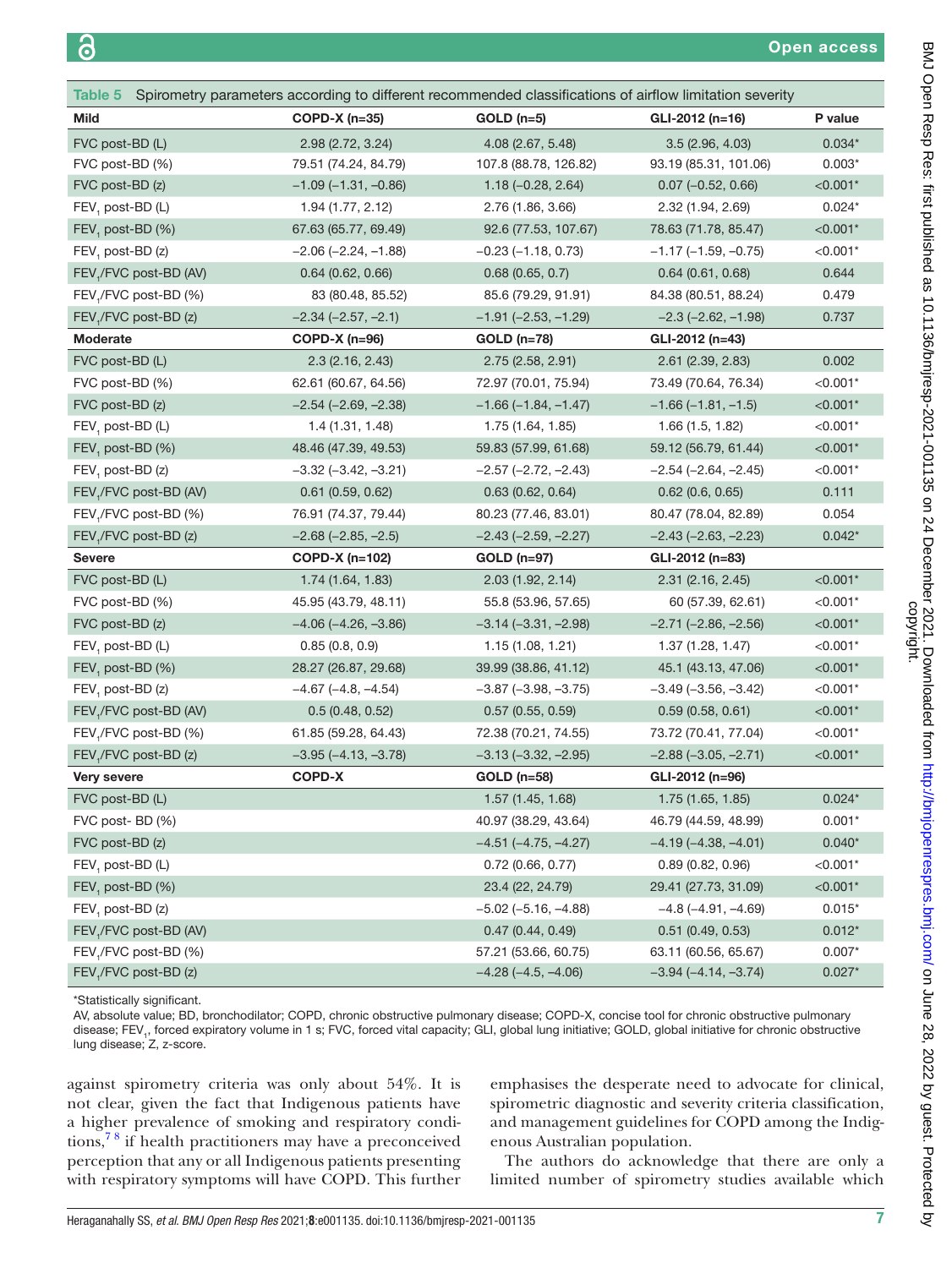<span id="page-6-0"></span>

| Table 5 Spirometry parameters according to different recommended classifications of airflow limitation severity |                          |                               |                               |            |  |
|-----------------------------------------------------------------------------------------------------------------|--------------------------|-------------------------------|-------------------------------|------------|--|
| <b>Mild</b>                                                                                                     | $COPD-X$ (n=35)          | $GOLD$ (n=5)                  | GLI-2012 (n=16)               | P value    |  |
| FVC post-BD (L)                                                                                                 | 2.98 (2.72, 3.24)        | 4.08 (2.67, 5.48)             | 3.5(2.96, 4.03)               | $0.034*$   |  |
| FVC post-BD (%)                                                                                                 | 79.51 (74.24, 84.79)     | 107.8 (88.78, 126.82)         | 93.19 (85.31, 101.06)         | $0.003*$   |  |
| FVC post-BD (z)                                                                                                 | $-1.09(-1.31, -0.86)$    | $1.18 (-0.28, 2.64)$          | $0.07 (-0.52, 0.66)$          | $< 0.001*$ |  |
| FEV, post-BD (L)                                                                                                | 1.94 (1.77, 2.12)        | 2.76 (1.86, 3.66)             | 2.32 (1.94, 2.69)             | $0.024*$   |  |
| FEV <sub>1</sub> post-BD (%)                                                                                    | 67.63 (65.77, 69.49)     | 92.6 (77.53, 107.67)          | 78.63 (71.78, 85.47)          | $< 0.001*$ |  |
| $FEV1$ post-BD (z)                                                                                              | $-2.06$ $(-2.24, -1.88)$ | $-0.23(-1.18, 0.73)$          | $-1.17$ ( $-1.59$ , $-0.75$ ) | $< 0.001*$ |  |
| FEV,/FVC post-BD (AV)                                                                                           | 0.64(0.62, 0.66)         | 0.68(0.65, 0.7)               | 0.64(0.61, 0.68)              | 0.644      |  |
| FEV <sub>1</sub> /FVC post-BD (%)                                                                               | 83 (80.48, 85.52)        | 85.6 (79.29, 91.91)           | 84.38 (80.51, 88.24)          | 0.479      |  |
| FEV,/FVC post-BD (z)                                                                                            | $-2.34 (-2.57, -2.1)$    | $-1.91$ $(-2.53, -1.29)$      | $-2.3$ $(-2.62, -1.98)$       | 0.737      |  |
| Moderate                                                                                                        | $COPD-X$ (n=96)          | <b>GOLD</b> (n=78)            | GLI-2012 (n=43)               |            |  |
| FVC post-BD (L)                                                                                                 | 2.3(2.16, 2.43)          | 2.75(2.58, 2.91)              | 2.61 (2.39, 2.83)             | 0.002      |  |
| FVC post-BD (%)                                                                                                 | 62.61 (60.67, 64.56)     | 72.97 (70.01, 75.94)          | 73.49 (70.64, 76.34)          | $< 0.001*$ |  |
| FVC post-BD (z)                                                                                                 | $-2.54$ $(-2.69, -2.38)$ | $-1.66(-1.84, -1.47)$         | $-1.66$ ( $-1.81$ , $-1.5$ )  | $< 0.001*$ |  |
| FEV, post-BD (L)                                                                                                | 1.4(1.31, 1.48)          | 1.75 (1.64, 1.85)             | 1.66 (1.5, 1.82)              | $< 0.001*$ |  |
| FEV <sub>1</sub> post-BD (%)                                                                                    | 48.46 (47.39, 49.53)     | 59.83 (57.99, 61.68)          | 59.12 (56.79, 61.44)          | $< 0.001*$ |  |
| FEV, post-BD (z)                                                                                                | $-3.32$ $(-3.42, -3.21)$ | $-2.57$ $(-2.72, -2.43)$      | $-2.54$ $(-2.64, -2.45)$      | $< 0.001*$ |  |
| FEV <sub>1</sub> /FVC post-BD (AV)                                                                              | $0.61$ (0.59, 0.62)      | 0.63(0.62, 0.64)              | $0.62$ (0.6, 0.65)            | 0.111      |  |
| FEV <sub>1</sub> /FVC post-BD (%)                                                                               | 76.91 (74.37, 79.44)     | 80.23 (77.46, 83.01)          | 80.47 (78.04, 82.89)          | 0.054      |  |
| FEV <sub>1</sub> /FVC post-BD (z)                                                                               | $-2.68$ $(-2.85, -2.5)$  | $-2.43$ ( $-2.59$ , $-2.27$ ) | $-2.43$ $(-2.63, -2.23)$      | $0.042*$   |  |
| <b>Severe</b>                                                                                                   | COPD-X (n=102)           | GOLD (n=97)                   | GLI-2012 (n=83)               |            |  |
| FVC post-BD (L)                                                                                                 | 1.74 (1.64, 1.83)        | 2.03(1.92, 2.14)              | $2.31$ (2.16, 2.45)           | $< 0.001*$ |  |
| FVC post-BD (%)                                                                                                 | 45.95 (43.79, 48.11)     | 55.8 (53.96, 57.65)           | 60 (57.39, 62.61)             | $< 0.001*$ |  |
| FVC post-BD (z)                                                                                                 | $-4.06$ $(-4.26, -3.86)$ | $-3.14 (-3.31, -2.98)$        | $-2.71$ $(-2.86, -2.56)$      | $< 0.001*$ |  |
| $FEV1$ post-BD (L)                                                                                              | 0.85(0.8, 0.9)           | 1.15(1.08, 1.21)              | 1.37(1.28, 1.47)              | $< 0.001*$ |  |
| $FEV1$ post-BD (%)                                                                                              | 28.27 (26.87, 29.68)     | 39.99 (38.86, 41.12)          | 45.1 (43.13, 47.06)           | $< 0.001*$ |  |
| $FEV1$ post-BD (z)                                                                                              | $-4.67$ $(-4.8, -4.54)$  | $-3.87$ ( $-3.98$ , $-3.75$ ) | $-3.49$ $(-3.56, -3.42)$      | $< 0.001*$ |  |
| FEV <sub>1</sub> /FVC post-BD (AV)                                                                              | 0.5(0.48, 0.52)          | 0.57(0.55, 0.59)              | 0.59(0.58, 0.61)              | $< 0.001*$ |  |
| FEV,/FVC post-BD (%)                                                                                            | 61.85 (59.28, 64.43)     | 72.38 (70.21, 74.55)          | 73.72 (70.41, 77.04)          | $< 0.001*$ |  |
| FEV <sub>1</sub> /FVC post-BD (z)                                                                               | $-3.95 (-4.13, -3.78)$   | $-3.13(-3.32, -2.95)$         | $-2.88$ $(-3.05, -2.71)$      | $< 0.001*$ |  |
| Very severe                                                                                                     | <b>COPD-X</b>            | <b>GOLD (n=58)</b>            | GLI-2012 (n=96)               |            |  |
| FVC post-BD (L)                                                                                                 |                          | 1.57 (1.45, 1.68)             | 1.75 (1.65, 1.85)             | $0.024*$   |  |
| FVC post-BD (%)                                                                                                 |                          | 40.97 (38.29, 43.64)          | 46.79 (44.59, 48.99)          | $0.001*$   |  |
| FVC post-BD (z)                                                                                                 |                          | $-4.51$ $(-4.75, -4.27)$      | $-4.19(-4.38, -4.01)$         | $0.040*$   |  |
| $FEV1$ post-BD (L)                                                                                              |                          | $0.72$ (0.66, 0.77)           | 0.89(0.82, 0.96)              | $< 0.001*$ |  |
| FEV, post-BD (%)                                                                                                |                          | 23.4 (22, 24.79)              | 29.41 (27.73, 31.09)          | $< 0.001*$ |  |
| $FEV1$ post-BD (z)                                                                                              |                          | $-5.02$ ( $-5.16$ , $-4.88$ ) | $-4.8(-4.91, -4.69)$          | $0.015*$   |  |
| FEV,/FVC post-BD (AV)                                                                                           |                          | 0.47(0.44, 0.49)              | $0.51$ (0.49, 0.53)           | $0.012*$   |  |
| FEV,/FVC post-BD (%)                                                                                            |                          | 57.21 (53.66, 60.75)          | 63.11 (60.56, 65.67)          | $0.007*$   |  |
| FEV <sub>1</sub> /FVC post-BD (z)                                                                               |                          | $-4.28(-4.5, -4.06)$          | $-3.94 (-4.14, -3.74)$        | $0.027*$   |  |

\*Statistically significant.

AV, absolute value; BD, bronchodilator; COPD, chronic obstructive pulmonary disease; COPD-X, concise tool for chronic obstructive pulmonary disease; FEV<sub>1</sub>, forced expiratory volume in 1 s; FVC, forced vital capacity; GLI, global lung initiative; GOLD, global initiative for chronic obstructive lung disease; Z, z-score.

against spirometry criteria was only about 54%. It is not clear, given the fact that Indigenous patients have a higher prevalence of smoking and respiratory conditions,[7 8](#page-9-21) if health practitioners may have a preconceived perception that any or all Indigenous patients presenting with respiratory symptoms will have COPD. This further

emphasises the desperate need to advocate for clinical, spirometric diagnostic and severity criteria classification, and management guidelines for COPD among the Indigenous Australian population.

The authors do acknowledge that there are only a limited number of spirometry studies available which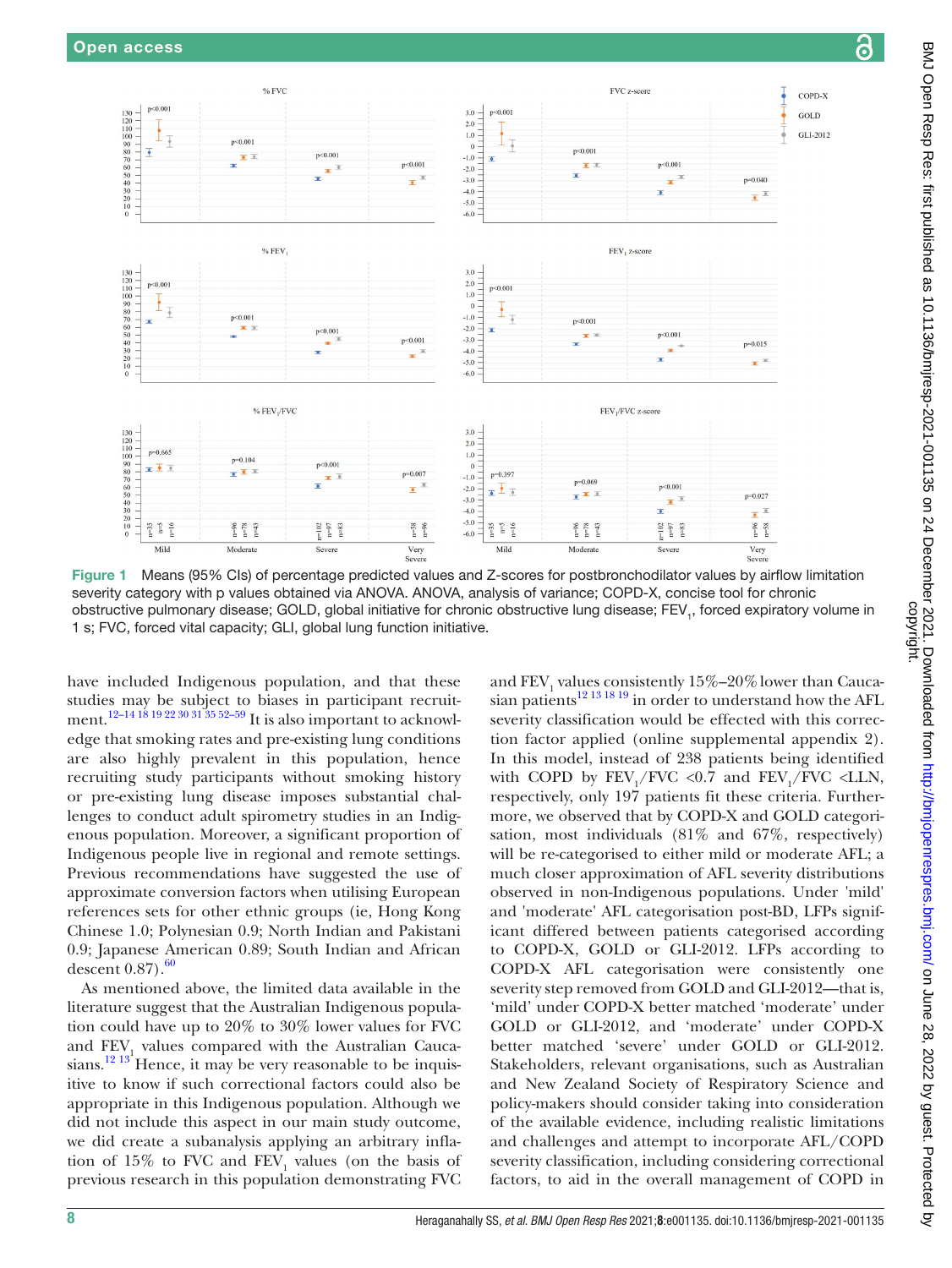

<span id="page-7-0"></span>Figure 1 Means (95% CIs) of percentage predicted values and Z-scores for postbronchodilator values by airflow limitation severity category with p values obtained via ANOVA. ANOVA, analysis of variance; COPD-X, concise tool for chronic obstructive pulmonary disease; GOLD, global initiative for chronic obstructive lung disease; FEV<sub>1</sub>, forced expiratory volume in 1 s; FVC, forced vital capacity; GLI, global lung function initiative.

have included Indigenous population, and that these studies may be subject to biases in participant recruitment.<sup>12–14 18</sup> 19 22 30 31 35 52–59 It is also important to acknowledge that smoking rates and pre-existing lung conditions are also highly prevalent in this population, hence recruiting study participants without smoking history or pre-existing lung disease imposes substantial challenges to conduct adult spirometry studies in an Indigenous population. Moreover, a significant proportion of Indigenous people live in regional and remote settings. Previous recommendations have suggested the use of approximate conversion factors when utilising European references sets for other ethnic groups (ie, Hong Kong Chinese 1.0; Polynesian 0.9; North Indian and Pakistani 0.9; Japanese American 0.89; South Indian and African descent  $0.87$ ). $^{60}$ 

As mentioned above, the limited data available in the literature suggest that the Australian Indigenous population could have up to 20% to 30% lower values for FVC and  $FEV<sub>1</sub>$  values compared with the Australian Caucasians. $12^{13}$  Hence, it may be very reasonable to be inquisitive to know if such correctional factors could also be appropriate in this Indigenous population. Although we did not include this aspect in our main study outcome, we did create a subanalysis applying an arbitrary inflation of 15% to FVC and  $FEV_1$  values (on the basis of previous research in this population demonstrating FVC

and  $FEV<sub>1</sub>$  values consistently  $15\% - 20\%$  lower than Cauca-sian patients<sup>[12 13 18 19](#page-9-3)</sup> in order to understand how the AFL severity classification would be effected with this correction factor applied ([online supplemental appendix 2](https://dx.doi.org/10.1136/bmjresp-2021-001135)). In this model, instead of 238 patients being identified with COPD by  $FEV_1/FVC < 0.7$  and  $FEV_1/FVC < 1.1N$ , respectively, only 197 patients fit these criteria. Furthermore, we observed that by COPD-X and GOLD categorisation, most individuals (81% and 67%, respectively) will be re-categorised to either mild or moderate AFL; a much closer approximation of AFL severity distributions observed in non-Indigenous populations. Under 'mild' and 'moderate' AFL categorisation post-BD, LFPs significant differed between patients categorised according to COPD-X, GOLD or GLI-2012. LFPs according to COPD-X AFL categorisation were consistently one severity step removed from GOLD and GLI-2012—that is, 'mild' under COPD-X better matched 'moderate' under GOLD or GLI-2012, and 'moderate' under COPD-X better matched 'severe' under GOLD or GLI-2012. Stakeholders, relevant organisations, such as Australian and New Zealand Society of Respiratory Science and policy-makers should consider taking into consideration of the available evidence, including realistic limitations and challenges and attempt to incorporate AFL/COPD severity classification, including considering correctional factors, to aid in the overall management of COPD in

<u>යි</u>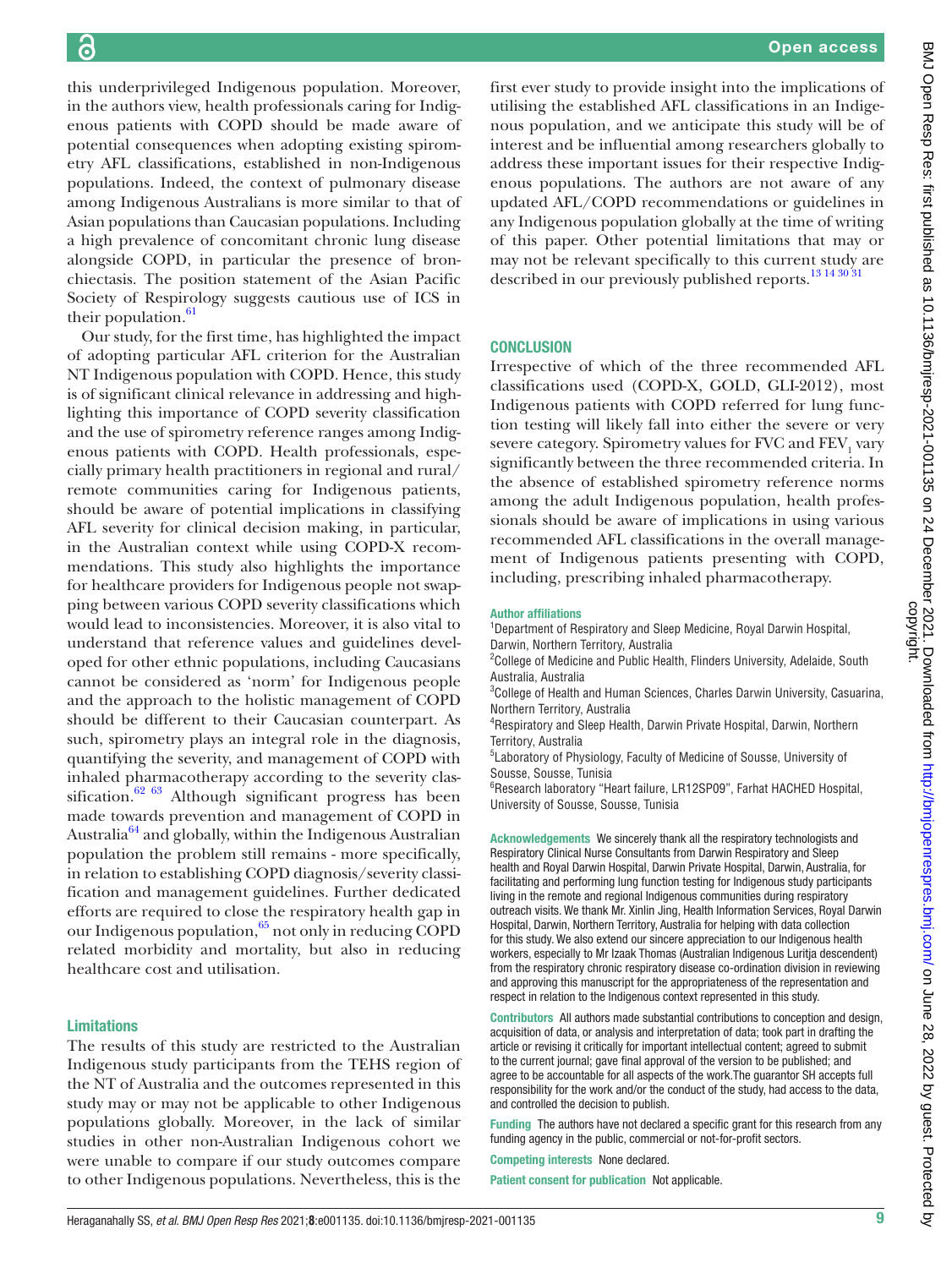this underprivileged Indigenous population. Moreover, in the authors view, health professionals caring for Indigenous patients with COPD should be made aware of potential consequences when adopting existing spirometry AFL classifications, established in non-Indigenous populations. Indeed, the context of pulmonary disease among Indigenous Australians is more similar to that of Asian populations than Caucasian populations. Including a high prevalence of concomitant chronic lung disease alongside COPD, in particular the presence of bronchiectasis. The position statement of the Asian Pacific Society of Respirology suggests cautious use of ICS in their population.<sup>61</sup>

Our study, for the first time, has highlighted the impact of adopting particular AFL criterion for the Australian NT Indigenous population with COPD. Hence, this study is of significant clinical relevance in addressing and highlighting this importance of COPD severity classification and the use of spirometry reference ranges among Indigenous patients with COPD. Health professionals, especially primary health practitioners in regional and rural/ remote communities caring for Indigenous patients, should be aware of potential implications in classifying AFL severity for clinical decision making, in particular, in the Australian context while using COPD-X recommendations. This study also highlights the importance for healthcare providers for Indigenous people not swapping between various COPD severity classifications which would lead to inconsistencies. Moreover, it is also vital to understand that reference values and guidelines developed for other ethnic populations, including Caucasians cannot be considered as 'norm' for Indigenous people and the approach to the holistic management of COPD should be different to their Caucasian counterpart. As such, spirometry plays an integral role in the diagnosis, quantifying the severity, and management of COPD with inhaled pharmacotherapy according to the severity classification. $62\,63}$  Although significant progress has been made towards prevention and management of COPD in Australia<sup>[64](#page-10-10)</sup> and globally, within the Indigenous Australian population the problem still remains - more specifically, in relation to establishing COPD diagnosis/severity classification and management guidelines. Further dedicated efforts are required to close the respiratory health gap in our Indigenous population,<sup>65</sup> not only in reducing COPD related morbidity and mortality, but also in reducing healthcare cost and utilisation.

#### Limitations

The results of this study are restricted to the Australian Indigenous study participants from the TEHS region of the NT of Australia and the outcomes represented in this study may or may not be applicable to other Indigenous populations globally. Moreover, in the lack of similar studies in other non-Australian Indigenous cohort we were unable to compare if our study outcomes compare to other Indigenous populations. Nevertheless, this is the

first ever study to provide insight into the implications of utilising the established AFL classifications in an Indigenous population, and we anticipate this study will be of interest and be influential among researchers globally to address these important issues for their respective Indigenous populations. The authors are not aware of any updated AFL/COPD recommendations or guidelines in any Indigenous population globally at the time of writing of this paper. Other potential limitations that may or may not be relevant specifically to this current study are described in our previously published reports.<sup>13</sup> <sup>14 30</sup><sup>31</sup>

#### **CONCLUSION**

Irrespective of which of the three recommended AFL classifications used (COPD-X, GOLD, GLI-2012), most Indigenous patients with COPD referred for lung function testing will likely fall into either the severe or very severe category. Spirometry values for FVC and  $\rm FEV_1$  vary significantly between the three recommended criteria. In the absence of established spirometry reference norms among the adult Indigenous population, health professionals should be aware of implications in using various recommended AFL classifications in the overall management of Indigenous patients presenting with COPD, including, prescribing inhaled pharmacotherapy.

#### Author affiliations

1 Department of Respiratory and Sleep Medicine, Royal Darwin Hospital, Darwin, Northern Territory, Australia

<sup>2</sup>College of Medicine and Public Health, Flinders University, Adelaide, South Australia, Australia

<sup>3</sup>College of Health and Human Sciences, Charles Darwin University, Casuarina, Northern Territory, Australia

4 Respiratory and Sleep Health, Darwin Private Hospital, Darwin, Northern Territory, Australia

5 Laboratory of Physiology, Faculty of Medicine of Sousse, University of Sousse, Sousse, Tunisia

6 Research laboratory "Heart failure, LR12SP09", Farhat HACHED Hospital, University of Sousse, Sousse, Tunisia

Acknowledgements We sincerely thank all the respiratory technologists and Respiratory Clinical Nurse Consultants from Darwin Respiratory and Sleep health and Royal Darwin Hospital, Darwin Private Hospital, Darwin, Australia, for facilitating and performing lung function testing for Indigenous study participants living in the remote and regional Indigenous communities during respiratory outreach visits. We thank Mr. Xinlin Jing, Health Information Services, Royal Darwin Hospital, Darwin, Northern Territory, Australia for helping with data collection for this study. We also extend our sincere appreciation to our Indigenous health workers, especially to Mr Izaak Thomas (Australian Indigenous Luritja descendent) from the respiratory chronic respiratory disease co-ordination division in reviewing and approving this manuscript for the appropriateness of the representation and respect in relation to the Indigenous context represented in this study.

Contributors All authors made substantial contributions to conception and design, acquisition of data, or analysis and interpretation of data; took part in drafting the article or revising it critically for important intellectual content; agreed to submit to the current journal; gave final approval of the version to be published; and agree to be accountable for all aspects of the work.The guarantor SH accepts full responsibility for the work and/or the conduct of the study, had access to the data, and controlled the decision to publish.

Funding The authors have not declared a specific grant for this research from any funding agency in the public, commercial or not-for-profit sectors.

Competing interests None declared.

Patient consent for publication Not applicable.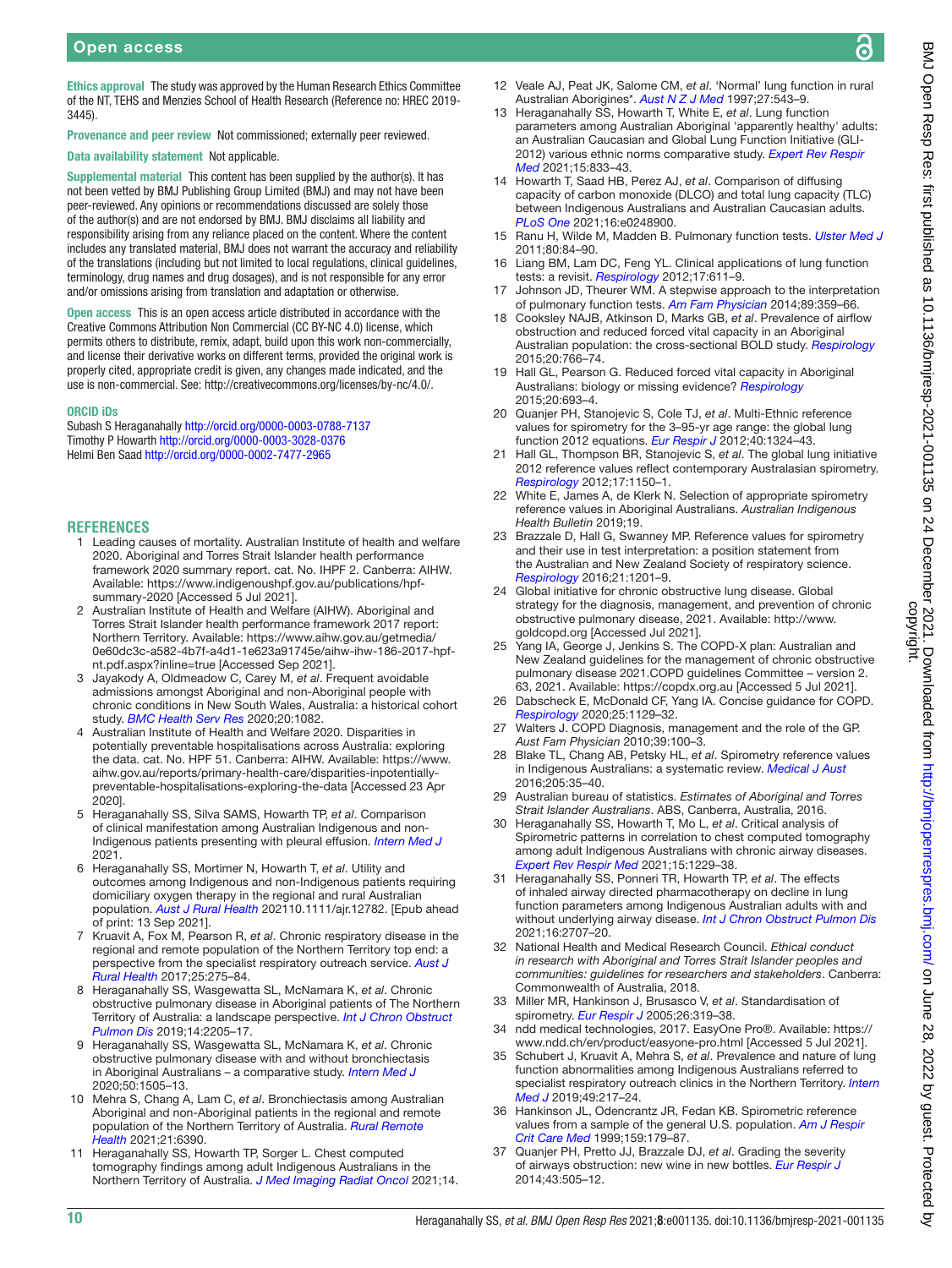्ट

Ethics approval The study was approved by the Human Research Ethics Committee of the NT, TEHS and Menzies School of Health Research (Reference no: HREC 2019- 3445).

Provenance and peer review Not commissioned; externally peer reviewed. Data availability statement Not applicable.

Supplemental material This content has been supplied by the author(s). It has not been vetted by BMJ Publishing Group Limited (BMJ) and may not have been peer-reviewed. Any opinions or recommendations discussed are solely those of the author(s) and are not endorsed by BMJ. BMJ disclaims all liability and responsibility arising from any reliance placed on the content. Where the content includes any translated material, BMJ does not warrant the accuracy and reliability of the translations (including but not limited to local regulations, clinical guidelines, terminology, drug names and drug dosages), and is not responsible for any error and/or omissions arising from translation and adaptation or otherwise.

Open access This is an open access article distributed in accordance with the Creative Commons Attribution Non Commercial (CC BY-NC 4.0) license, which permits others to distribute, remix, adapt, build upon this work non-commercially, and license their derivative works on different terms, provided the original work is properly cited, appropriate credit is given, any changes made indicated, and the use is non-commercial. See:<http://creativecommons.org/licenses/by-nc/4.0/>.

#### ORCID iDs

Subash S Heraganahally <http://orcid.org/0000-0003-0788-7137> Timothy P Howarth <http://orcid.org/0000-0003-3028-0376> Helmi Ben Saad <http://orcid.org/0000-0002-7477-2965>

#### **REFERENCES**

- <span id="page-9-0"></span>1 Leading causes of mortality. Australian Institute of health and welfare 2020. Aboriginal and Torres Strait Islander health performance framework 2020 summary report. cat. No. IHPF 2. Canberra: AIHW. Available: [https://www.indigenoushpf.gov.au/publications/hpf](https://www.indigenoushpf.gov.au/publications/hpf-summary-2020)[summary-2020](https://www.indigenoushpf.gov.au/publications/hpf-summary-2020) [Accessed 5 Jul 2021].
- 2 Australian Institute of Health and Welfare (AIHW). Aboriginal and Torres Strait Islander health performance framework 2017 report: Northern Territory. Available: [https://www.aihw.gov.au/getmedia/](https://www.aihw.gov.au/getmedia/0e60dc3c-a582-4b7f-a4d1-1e623a91745e/aihw-ihw-186-2017-hpf-nt.pdf.aspx?inline=true) [0e60dc3c-a582-4b7f-a4d1-1e623a91745e/aihw-ihw-186-2017-hpf](https://www.aihw.gov.au/getmedia/0e60dc3c-a582-4b7f-a4d1-1e623a91745e/aihw-ihw-186-2017-hpf-nt.pdf.aspx?inline=true)[nt.pdf.aspx?inline=true](https://www.aihw.gov.au/getmedia/0e60dc3c-a582-4b7f-a4d1-1e623a91745e/aihw-ihw-186-2017-hpf-nt.pdf.aspx?inline=true) [Accessed Sep 2021].
- <span id="page-9-1"></span>3 Jayakody A, Oldmeadow C, Carey M, *et al*. Frequent avoidable admissions amongst Aboriginal and non-Aboriginal people with chronic conditions in New South Wales, Australia: a historical cohort study. *[BMC Health Serv Res](http://dx.doi.org/10.1186/s12913-020-05950-8)* 2020;20:1082.
- 4 Australian Institute of Health and Welfare 2020. Disparities in potentially preventable hospitalisations across Australia: exploring the data. cat. No. HPF 51. Canberra: AIHW. Available: [https://www.](https://www.aihw.gov.au/reports/primary-health-care/disparities-inpotentially-preventable-hospitalisations-exploring-the-data) [aihw.gov.au/reports/primary-health-care/disparities-inpotentially](https://www.aihw.gov.au/reports/primary-health-care/disparities-inpotentially-preventable-hospitalisations-exploring-the-data)[preventable-hospitalisations-exploring-the-data](https://www.aihw.gov.au/reports/primary-health-care/disparities-inpotentially-preventable-hospitalisations-exploring-the-data) [Accessed 23 Apr 2020].
- <span id="page-9-2"></span>5 Heraganahally SS, Silva SAMS, Howarth TP, *et al*. Comparison of clinical manifestation among Australian Indigenous and non‐ Indigenous patients presenting with pleural effusion. *[Intern Med J](http://dx.doi.org/10.1111/imj.15310)* 2021.
- 6 Heraganahally SS, Mortimer N, Howarth T, *et al*. Utility and outcomes among Indigenous and non-Indigenous patients requiring domiciliary oxygen therapy in the regional and rural Australian population. *[Aust J Rural Health](http://dx.doi.org/10.1111/ajr.12782)* 202110.1111/ajr.12782. [Epub ahead of print: 13 Sep 2021].
- <span id="page-9-21"></span>7 Kruavit A, Fox M, Pearson R, *et al*. Chronic respiratory disease in the regional and remote population of the Northern Territory top end: a perspective from the specialist respiratory outreach service. *[Aust J](http://dx.doi.org/10.1111/ajr.12349)  [Rural Health](http://dx.doi.org/10.1111/ajr.12349)* 2017;25:275–84.
- <span id="page-9-25"></span>8 Heraganahally SS, Wasgewatta SL, McNamara K, *et al*. Chronic obstructive pulmonary disease in Aboriginal patients of The Northern Territory of Australia: a landscape perspective. *[Int J Chron Obstruct](http://dx.doi.org/10.2147/COPD.S213947)  [Pulmon Dis](http://dx.doi.org/10.2147/COPD.S213947)* 2019;14:2205–17.
- 9 Heraganahally SS, Wasgewatta SL, McNamara K, *et al*. Chronic obstructive pulmonary disease with and without bronchiectasis in Aboriginal Australians – a comparative study. *[Intern Med J](http://dx.doi.org/10.1111/imj.14718)* 2020;50:1505–13.
- <span id="page-9-11"></span>10 Mehra S, Chang A, Lam C, *et al*. Bronchiectasis among Australian Aboriginal and non-Aboriginal patients in the regional and remote population of the Northern Territory of Australia. *[Rural Remote](http://dx.doi.org/10.22605/RRH6390)  [Health](http://dx.doi.org/10.22605/RRH6390)* 2021;21:6390.
- <span id="page-9-24"></span>11 Heraganahally SS, Howarth TP, Sorger L. Chest computed tomography findings among adult Indigenous Australians in the Northern Territory of Australia. *[J Med Imaging Radiat Oncol](http://dx.doi.org/10.1111/1754-9485.13295)* 2021;14.
- <span id="page-9-3"></span>12 Veale AJ, Peat JK, Salome CM, *et al*. 'Normal' lung function in rural Australian Aborigines\*. *[Aust N Z J Med](http://dx.doi.org/10.1111/j.1445-5994.1997.tb00962.x)* 1997;27:543–9.
- <span id="page-9-7"></span>13 Heraganahally SS, Howarth T, White E, *et al*. Lung function parameters among Australian Aboriginal 'apparently healthy' adults: an Australian Caucasian and Global Lung Function Initiative (GLI-2012) various ethnic norms comparative study. *[Expert Rev Respir](http://dx.doi.org/10.1080/17476348.2021.1847649)  [Med](http://dx.doi.org/10.1080/17476348.2021.1847649)* 2021;15:833–43.
- 14 Howarth T, Saad HB, Perez AJ, *et al*. Comparison of diffusing capacity of carbon monoxide (DLCO) and total lung capacity (TLC) between Indigenous Australians and Australian Caucasian adults. *[PLoS One](http://dx.doi.org/10.1371/journal.pone.0248900)* 2021;16:e0248900.
- <span id="page-9-4"></span>15 Ranu H, Wilde M, Madden B. Pulmonary function tests. *[Ulster Med J](http://www.ncbi.nlm.nih.gov/pubmed/22347750)* 2011;80:84–90.
- 16 Liang BM, Lam DC, Feng YL. Clinical applications of lung function tests: a revisit. *[Respirology](http://dx.doi.org/10.1111/j.1440-1843.2012.02149.x)* 2012;17:611–9.
- 17 Johnson JD, Theurer WM. A stepwise approach to the interpretation of pulmonary function tests. *[Am Fam Physician](http://www.ncbi.nlm.nih.gov/pubmed/24695507)* 2014;89:359–66.
- <span id="page-9-16"></span>18 Cooksley NAJB, Atkinson D, Marks GB, *et al*. Prevalence of airflow obstruction and reduced forced vital capacity in an Aboriginal Australian population: the cross-sectional BOLD study. *[Respirology](http://dx.doi.org/10.1111/resp.12482)* 2015;20:766–74.
- 19 Hall GL, Pearson G. Reduced forced vital capacity in Aboriginal Australians: biology or missing evidence? *[Respirology](http://dx.doi.org/10.1111/resp.12552)* 2015;20:693–4.
- <span id="page-9-5"></span>20 Quanjer PH, Stanojevic S, Cole TJ, *et al*. Multi-Ethnic reference values for spirometry for the 3–95-yr age range: the global lung function 2012 equations. *[Eur Respir J](http://dx.doi.org/10.1183/09031936.00080312)* 2012;40:1324–43.
- <span id="page-9-6"></span>21 Hall GL, Thompson BR, Stanojevic S, *et al*. The global lung initiative 2012 reference values reflect contemporary Australasian spirometry. *[Respirology](http://dx.doi.org/10.1111/j.1440-1843.2012.02232.x)* 2012;17:1150–1.
- <span id="page-9-19"></span>22 White E, James A, de Klerk N. Selection of appropriate spirometry reference values in Aboriginal Australians. *Australian Indigenous Health Bulletin* 2019;19.
- <span id="page-9-8"></span>23 Brazzale D, Hall G, Swanney MP. Reference values for spirometry and their use in test interpretation: a position statement from the Australian and New Zealand Society of respiratory science. *[Respirology](http://dx.doi.org/10.1111/resp.12855)* 2016;21:1201–9.
- <span id="page-9-9"></span>24 Global initiative for chronic obstructive lung disease. Global strategy for the diagnosis, management, and prevention of chronic obstructive pulmonary disease, 2021. Available: [http://www.](http://www.goldcopd.org) [goldcopd.org](http://www.goldcopd.org) [Accessed Jul 2021].
- <span id="page-9-10"></span>25 Yang IA, George J, Jenkins S. The COPD-X plan: Australian and New Zealand guidelines for the management of chronic obstructive pulmonary disease 2021.COPD guidelines Committee – version 2. 63, 2021. Available:<https://copdx.org.au>[Accessed 5 Jul 2021].
- Dabscheck E, McDonald CF, Yang IA. Concise guidance for COPD. *[Respirology](http://dx.doi.org/10.1111/resp.13934)* 2020;25:1129–32.
- 27 Walters J. COPD Diagnosis, management and the role of the GP. *Aust Fam Physician* 2010;39:100–3.
- <span id="page-9-20"></span>28 Blake TL, Chang AB, Petsky HL, *et al*. Spirometry reference values in Indigenous Australians: a systematic review. *[Medical J Aust](http://dx.doi.org/10.5694/mja16.00226)* 2016;205:35–40.
- <span id="page-9-12"></span>29 Australian bureau of statistics. *Estimates of Aboriginal and Torres Strait Islander Australians*. ABS, Canberra, Australia, 2016.
- <span id="page-9-22"></span>30 Heraganahally SS, Howarth T, Mo L, *et al*. Critical analysis of Spirometric patterns in correlation to chest computed tomography among adult Indigenous Australians with chronic airway diseases. *[Expert Rev Respir Med](http://dx.doi.org/10.1080/17476348.2021.1928496)* 2021;15:1229–38.
- <span id="page-9-23"></span>31 Heraganahally SS, Ponneri TR, Howarth TP, *et al*. The effects of inhaled airway directed pharmacotherapy on decline in lung function parameters among Indigenous Australian adults with and without underlying airway disease. *[Int J Chron Obstruct Pulmon Dis](http://dx.doi.org/10.2147/COPD.S328137)* 2021;16:2707–20.
- <span id="page-9-13"></span>32 National Health and Medical Research Council. *Ethical conduct in research with Aboriginal and Torres Strait Islander peoples and communities: guidelines for researchers and stakeholders*. Canberra: Commonwealth of Australia, 2018.
- <span id="page-9-14"></span>33 Miller MR, Hankinson J, Brusasco V, *et al*. Standardisation of spirometry. *[Eur Respir J](http://dx.doi.org/10.1183/09031936.05.00034805)* 2005;26:319–38.
- <span id="page-9-15"></span>34 ndd medical technologies, 2017. EasyOne Pro®. Available: [https://](https://www.ndd.ch/en/product/easyone-pro.html) [www.ndd.ch/en/product/easyone-pro.html](https://www.ndd.ch/en/product/easyone-pro.html) [Accessed 5 Jul 2021].
- 35 Schubert J, Kruavit A, Mehra S, *et al*. Prevalence and nature of lung function abnormalities among Indigenous Australians referred to specialist respiratory outreach clinics in the Northern Territory. *[Intern](http://dx.doi.org/10.1111/imj.14112)  [Med J](http://dx.doi.org/10.1111/imj.14112)* 2019;49:217–24.
- <span id="page-9-17"></span>36 Hankinson JL, Odencrantz JR, Fedan KB. Spirometric reference values from a sample of the general U.S. population. *[Am J Respir](http://dx.doi.org/10.1164/ajrccm.159.1.9712108)  [Crit Care Med](http://dx.doi.org/10.1164/ajrccm.159.1.9712108)* 1999;159:179–87.
- <span id="page-9-18"></span>37 Quanjer PH, Pretto JJ, Brazzale DJ, *et al*. Grading the severity of airways obstruction: new wine in new bottles. *[Eur Respir J](http://dx.doi.org/10.1183/09031936.00086313)* 2014;43:505–12.